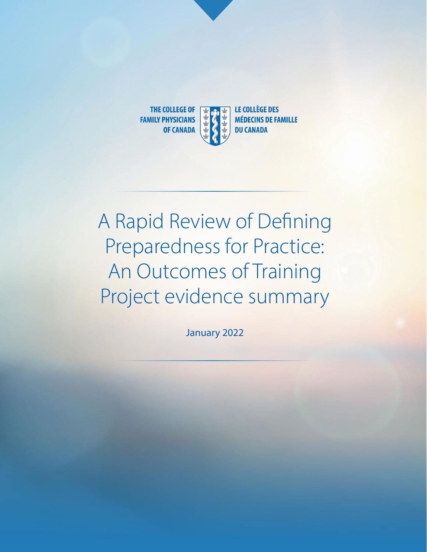

# A Rapid Review of Defining Preparedness for Practice: An Outcomes of Training Project evidence summary

January 2022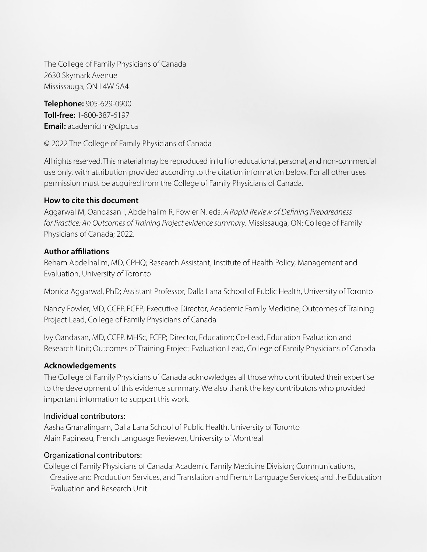The College of Family Physicians of Canada 2630 Skymark Avenue Mississauga, ON L4W 5A4

**Telephone:** 905-629-0900 **Toll-free:** 1-800-387-6197 **Email:** academicfm@cfpc.ca

© 2022 The College of Family Physicians of Canada

All rights reserved. This material may be reproduced in full for educational, personal, and non-commercial use only, with attribution provided according to the citation information below. For all other uses permission must be acquired from the College of Family Physicians of Canada.

### **How to cite this document**

Aggarwal M, Oandasan I, Abdelhalim R, Fowler N, eds. *A Rapid Review of Defining Preparedness for Practice: An Outcomes of Training Project evidence summary*. Mississauga, ON: College of Family Physicians of Canada; 2022.

### **Author affiliations**

Reham Abdelhalim, MD, CPHQ; Research Assistant, Institute of Health Policy, Management and Evaluation, University of Toronto

Monica Aggarwal, PhD; Assistant Professor, Dalla Lana School of Public Health, University of Toronto

Nancy Fowler, MD, CCFP, FCFP; Executive Director, Academic Family Medicine; Outcomes of Training Project Lead, College of Family Physicians of Canada

Ivy Oandasan, MD, CCFP, MHSc, FCFP; Director, Education; Co-Lead, Education Evaluation and Research Unit; Outcomes of Training Project Evaluation Lead, College of Family Physicians of Canada

### **Acknowledgements**

The College of Family Physicians of Canada acknowledges all those who contributed their expertise to the development of this evidence summary. We also thank the key contributors who provided important information to support this work.

### Individual contributors:

Aasha Gnanalingam, Dalla Lana School of Public Health, University of Toronto Alain Papineau, French Language Reviewer, University of Montreal

### Organizational contributors:

College of Family Physicians of Canada: Academic Family Medicine Division; Communications, Creative and Production Services, and Translation and French Language Services; and the Education Evaluation and Research Unit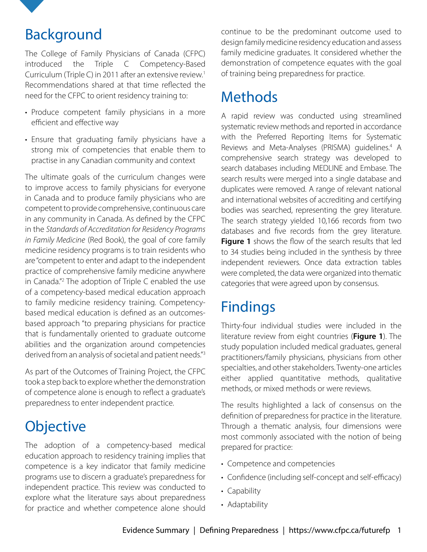

## Background

The College of Family Physicians of Canada (CFPC) introduced the Triple C Competency-Based Curriculum (Triple C) in 2011 after an extensive review.<sup>1</sup> Recommendations shared at that time reflected the need for the CFPC to orient residency training to:

- Produce competent family physicians in a more efficient and effective way
- Ensure that graduating family physicians have a strong mix of competencies that enable them to practise in any Canadian community and context

The ultimate goals of the curriculum changes were to improve access to family physicians for everyone in Canada and to produce family physicians who are competent to provide comprehensive, continuous care in any community in Canada. As defined by the CFPC in the *Standards of Accreditation for Residency Programs in Family Medicine* (Red Book), the goal of core family medicine residency programs is to train residents who are "competent to enter and adapt to the independent practice of comprehensive family medicine anywhere in Canada."2 The adoption of Triple C enabled the use of a competency-based medical education approach to family medicine residency training. Competencybased medical education is defined as an outcomesbased approach "to preparing physicians for practice that is fundamentally oriented to graduate outcome abilities and the organization around competencies derived from an analysis of societal and patient needs."3

As part of the Outcomes of Training Project, the CFPC took a step back to explore whether the demonstration of competence alone is enough to reflect a graduate's preparedness to enter independent practice.

# **Objective**

The adoption of a competency-based medical education approach to residency training implies that competence is a key indicator that family medicine programs use to discern a graduate's preparedness for independent practice. This review was conducted to explore what the literature says about preparedness for practice and whether competence alone should continue to be the predominant outcome used to design family medicine residency education and assess family medicine graduates. It considered whether the demonstration of competence equates with the goal of training being preparedness for practice.

# **Methods**

A rapid review was conducted using streamlined systematic review methods and reported in accordance with the Preferred Reporting Items for Systematic Reviews and Meta-Analyses (PRISMA) guidelines.<sup>4</sup> A comprehensive search strategy was developed to search databases including MEDLINE and Embase. The search results were merged into a single database and duplicates were removed. A range of relevant national and international websites of accrediting and certifying bodies was searched, representing the grey literature. The search strategy yielded 10,166 records from two databases and five records from the grey literature. **Figure 1** shows the flow of the search results that led to 34 studies being included in the synthesis by three independent reviewers. Once data extraction tables were completed, the data were organized into thematic categories that were agreed upon by consensus.

## Findings

Thirty-four individual studies were included in the literature review from eight countries (**Figure 1**). The study population included medical graduates, general practitioners/family physicians, physicians from other specialties, and other stakeholders. Twenty-one articles either applied quantitative methods, qualitative methods, or mixed methods or were reviews.

The results highlighted a lack of consensus on the definition of preparedness for practice in the literature. Through a thematic analysis, four dimensions were most commonly associated with the notion of being prepared for practice:

- Competence and competencies
- Confidence (including self-concept and self-efficacy)
- Capability
- Adaptability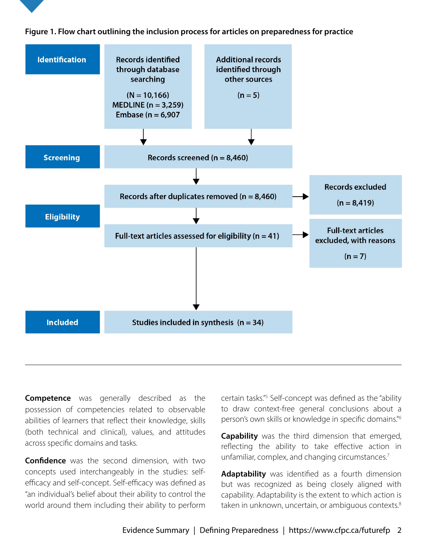

**Competence** was generally described as the possession of competencies related to observable abilities of learners that reflect their knowledge, skills (both technical and clinical), values, and attitudes across specific domains and tasks.

**Confidence** was the second dimension, with two concepts used interchangeably in the studies: selfefficacy and self-concept. Self-efficacy was defined as "an individual's belief about their ability to control the world around them including their ability to perform

certain tasks."<sup>5</sup> Self-concept was defined as the "ability to draw context-free general conclusions about a person's own skills or knowledge in specific domains."6

**Capability** was the third dimension that emerged, reflecting the ability to take effective action in unfamiliar, complex, and changing circumstances.<sup>7</sup>

**Adaptability** was identified as a fourth dimension but was recognized as being closely aligned with capability. Adaptability is the extent to which action is taken in unknown, uncertain, or ambiguous contexts.<sup>8</sup>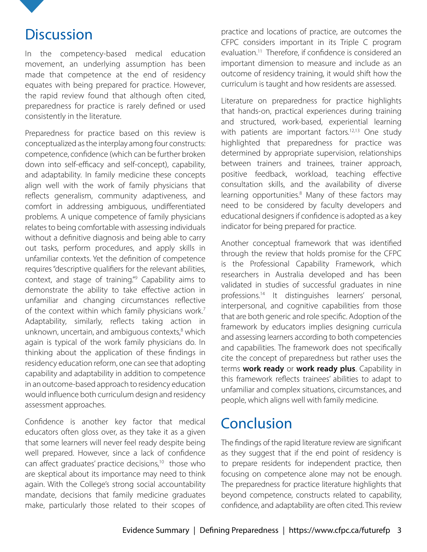

### **Discussion**

In the competency-based medical education movement, an underlying assumption has been made that competence at the end of residency equates with being prepared for practice. However, the rapid review found that although often cited, preparedness for practice is rarely defined or used consistently in the literature.

Preparedness for practice based on this review is conceptualized as the interplay among four constructs: competence, confidence (which can be further broken down into self-efficacy and self-concept), capability, and adaptability. In family medicine these concepts align well with the work of family physicians that reflects generalism, community adaptiveness, and comfort in addressing ambiguous, undifferentiated problems. A unique competence of family physicians relates to being comfortable with assessing individuals without a definitive diagnosis and being able to carry out tasks, perform procedures, and apply skills in unfamiliar contexts. Yet the definition of competence requires "descriptive qualifiers for the relevant abilities, context, and stage of training."9 Capability aims to demonstrate the ability to take effective action in unfamiliar and changing circumstances reflective of the context within which family physicians work.<sup>7</sup> Adaptability, similarly, reflects taking action in unknown, uncertain, and ambiguous contexts,<sup>8</sup> which again is typical of the work family physicians do. In thinking about the application of these findings in residency education reform, one can see that adopting capability and adaptability in addition to competence in an outcome-based approach to residency education would influence both curriculum design and residency assessment approaches.

Confidence is another key factor that medical educators often gloss over, as they take it as a given that some learners will never feel ready despite being well prepared. However, since a lack of confidence can affect graduates' practice decisions,<sup>10</sup> those who are skeptical about its importance may need to think again. With the College's strong social accountability mandate, decisions that family medicine graduates make, particularly those related to their scopes of

practice and locations of practice, are outcomes the CFPC considers important in its Triple C program evaluation.11 Therefore, if confidence is considered an important dimension to measure and include as an outcome of residency training, it would shift how the curriculum is taught and how residents are assessed.

Literature on preparedness for practice highlights that hands-on, practical experiences during training and structured, work-based, experiential learning with patients are important factors.<sup>12,13</sup> One study highlighted that preparedness for practice was determined by appropriate supervision, relationships between trainers and trainees, trainer approach, positive feedback, workload, teaching effective consultation skills, and the availability of diverse learning opportunities.<sup>8</sup> Many of these factors may need to be considered by faculty developers and educational designers if confidence is adopted as a key indicator for being prepared for practice.

Another conceptual framework that was identified through the review that holds promise for the CFPC is the Professional Capability Framework, which researchers in Australia developed and has been validated in studies of successful graduates in nine professions.14 It distinguishes learners' personal, interpersonal, and cognitive capabilities from those that are both generic and role specific. Adoption of the framework by educators implies designing curricula and assessing learners according to both competencies and capabilities. The framework does not specifically cite the concept of preparedness but rather uses the terms **work ready** or **work ready plus**. Capability in this framework reflects trainees' abilities to adapt to unfamiliar and complex situations, circumstances, and people, which aligns well with family medicine.

### **Conclusion**

The findings of the rapid literature review are significant as they suggest that if the end point of residency is to prepare residents for independent practice, then focusing on competence alone may not be enough. The preparedness for practice literature highlights that beyond competence, constructs related to capability, confidence, and adaptability are often cited. This review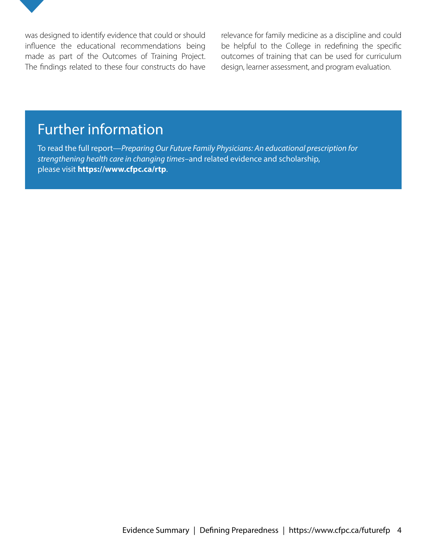

was designed to identify evidence that could or should influence the educational recommendations being made as part of the Outcomes of Training Project. The findings related to these four constructs do have relevance for family medicine as a discipline and could be helpful to the College in redefining the specific outcomes of training that can be used for curriculum design, learner assessment, and program evaluation.

### Further information

To read the full report—*Preparing Our Future Family Physicians: An educational prescription for strengthening health care in changing times*–and related evidence and scholarship, please visit **https://www.cfpc.ca/rtp**.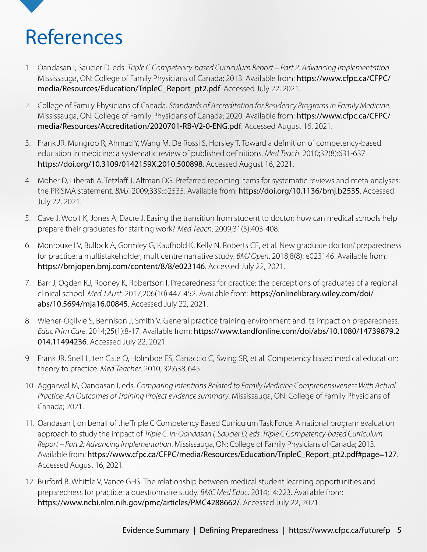# References

- 1. Oandasan I, Saucier D, eds. *Triple C Competency-based Curriculum Report Part 2: Advancing Implementation*. Mississauga, ON: College of Family Physicians of Canada; 2013. Available from: [https://www.cfpc.ca/CFPC/](https://www.cfpc.ca/CFPC/media/Resources/Education/TripleC_Report_pt2.pdf) [media/Resources/Education/TripleC\\_Report\\_pt2.pdf](https://www.cfpc.ca/CFPC/media/Resources/Education/TripleC_Report_pt2.pdf). Accessed July 22, 2021.
- 2. College of Family Physicians of Canada. *Standards of Accreditation for Residency Programs in Family Medicine*. Mississauga, ON: College of Family Physicians of Canada; 2020. Available from: [https://www.cfpc.ca/CFPC/](https://www.cfpc.ca/CFPC/media/Resources/Accreditation/2020701-RB-V2-0-ENG.pdf) [media/Resources/Accreditation/2020701-RB-V2-0-ENG.pdf](https://www.cfpc.ca/CFPC/media/Resources/Accreditation/2020701-RB-V2-0-ENG.pdf). Accessed August 16, 2021.
- 3. Frank JR, Mungroo R, Ahmad Y, Wang M, De Rossi S, Horsley T. Toward a definition of competency-based education in medicine: a systematic review of published definitions. *Med Teach*. 2010;32(8):631-637. https://doi.org/10.3109/0142159X.2010.500898. Accessed August 16, 2021.
- 4. Moher D, Liberati A, Tetzlaff J, Altman DG. Preferred reporting items for systematic reviews and meta-analyses: the PRISMA statement. *BMJ*. 2009;339:b2535. Available from: https://doi.org/10.1136/bmj.b2535. Accessed July 22, 2021.
- 5. Cave J, Woolf K, Jones A, Dacre J. Easing the transition from student to doctor: how can medical schools help prepare their graduates for starting work? *Med Teach*. 2009;31(5):403-408.
- 6. Monrouxe LV, Bullock A, Gormley G, Kaufhold K, Kelly N, Roberts CE, et al. New graduate doctors' preparedness for practice: a multistakeholder, multicentre narrative study. *BMJ Open*. 2018;8(8): e023146. Available from: https://bmjopen.bmj.com/content/8/8/e023146. Accessed July 22, 2021.
- 7. Barr J, Ogden KJ, Rooney K, Robertson I. Preparedness for practice: the perceptions of graduates of a regional clinical school. *Med J Aust*. 2017;206(10):447-452. Available from: [https://onlinelibrary.wiley.com/doi/](https://onlinelibrary.wiley.com/doi/abs/10.5694/mja16.00845) [abs/10.5694/mja16.00845](https://onlinelibrary.wiley.com/doi/abs/10.5694/mja16.00845). Accessed July 22, 2021.
- 8. Wiener-Ogilvie S, Bennison J, Smith V. General practice training environment and its impact on preparedness. *Educ Prim Care*. 2014;25(1):8-17. Available from: [https://www.tandfonline.com/doi/abs/10.1080/14739879.2](https://www.tandfonline.com/doi/abs/10.1080/14739879.2014.11494236) [014.11494236](https://www.tandfonline.com/doi/abs/10.1080/14739879.2014.11494236). Accessed July 22, 2021.
- 9. Frank JR, Snell L, ten Cate O, Holmboe ES, Carraccio C, Swing SR, et al. Competency based medical education: theory to practice. *Med Teacher*. 2010; 32:638-645.
- 10. Aggarwal M, Oandasan I, eds. *Comparing Intentions Related to Family Medicine Comprehensiveness With Actual Practice: An Outcomes of Training Project evidence summary*. Mississauga, ON: College of Family Physicians of Canada; 2021.
- 11. Oandasan I, on behalf of the Triple C Competency Based Curriculum Task Force. A national program evaluation approach to study the impact of *Triple C. In: Oandasan I, Saucier D, eds. Triple C Competency-based Curriculum Report – Part 2: Advancing Implementation*. Mississauga, ON: College of Family Physicians of Canada; 2013. Available from: [https://www.cfpc.ca/CFPC/media/Resources/Education/TripleC\\_Report\\_pt2.pdf#page=127](https://www.cfpc.ca/CFPC/media/Resources/Education/TripleC_Report_pt2.pdf#page=127). Accessed August 16, 2021.
- 12. Burford B, Whittle V, Vance GHS. The relationship between medical student learning opportunities and preparedness for practice: a questionnaire study. *BMC Med Educ*. 2014;14:223. Available from: <https://www.ncbi.nlm.nih.gov/pmc/articles/PMC4288662/>. Accessed July 22, 2021.